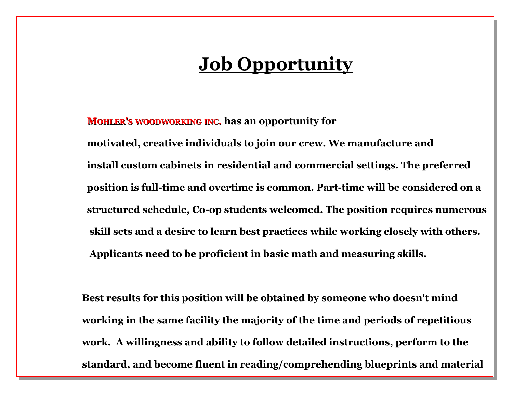## **Job Opportunity**

 **MOHLER'S WOODWORKING INC. has an opportunity for motivated, creative individuals to join our crew. We manufacture and install custom cabinets in residential and commercial settings. The preferred position is full-time and overtime is common. Part-time will be considered on a structured schedule, Co-op students welcomed. The position requires numerous skill sets and a desire to learn best practices while working closely with others. Applicants need to be proficient in basic math and measuring skills.** 

 **Best results for this position will be obtained by someone who doesn't mind working in the same facility the majority of the time and periods of repetitious work. A willingness and ability to follow detailed instructions, perform to the standard, and become fluent in reading/comprehending blueprints and material**